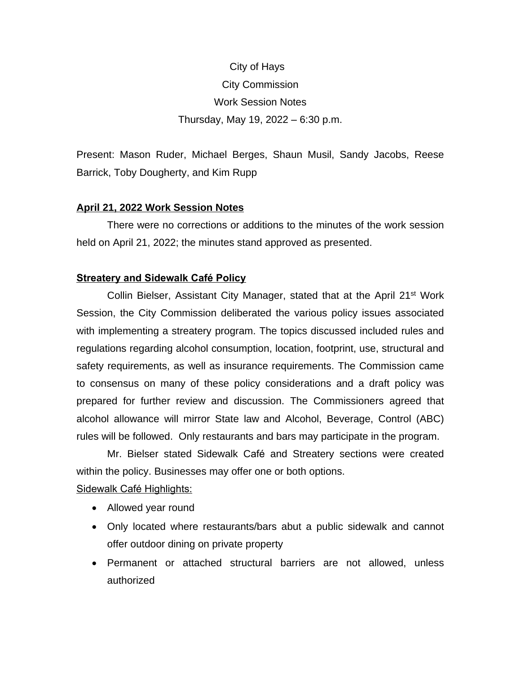# City of Hays City Commission Work Session Notes Thursday, May 19, 2022 – 6:30 p.m.

Present: Mason Ruder, Michael Berges, Shaun Musil, Sandy Jacobs, Reese Barrick, Toby Dougherty, and Kim Rupp

# **April 21, 2022 Work Session Notes**

There were no corrections or additions to the minutes of the work session held on April 21, 2022; the minutes stand approved as presented.

# **Streatery and Sidewalk Café Policy**

Collin Bielser, Assistant City Manager, stated that at the April 21<sup>st</sup> Work Session, the City Commission deliberated the various policy issues associated with implementing a streatery program. The topics discussed included rules and regulations regarding alcohol consumption, location, footprint, use, structural and safety requirements, as well as insurance requirements. The Commission came to consensus on many of these policy considerations and a draft policy was prepared for further review and discussion. The Commissioners agreed that alcohol allowance will mirror State law and Alcohol, Beverage, Control (ABC) rules will be followed. Only restaurants and bars may participate in the program.

Mr. Bielser stated Sidewalk Café and Streatery sections were created within the policy. Businesses may offer one or both options.

Sidewalk Café Highlights:

- Allowed year round
- Only located where restaurants/bars abut a public sidewalk and cannot offer outdoor dining on private property
- Permanent or attached structural barriers are not allowed, unless authorized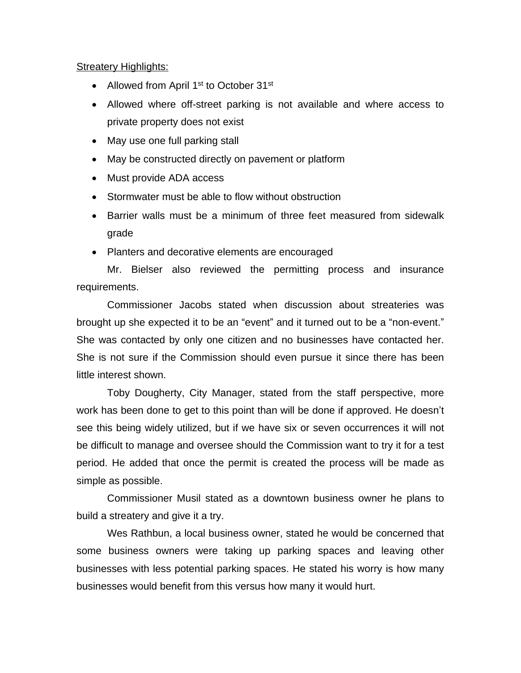# **Streatery Highlights:**

- Allowed from April 1<sup>st</sup> to October 31<sup>st</sup>
- Allowed where off-street parking is not available and where access to private property does not exist
- May use one full parking stall
- May be constructed directly on pavement or platform
- Must provide ADA access
- Stormwater must be able to flow without obstruction
- Barrier walls must be a minimum of three feet measured from sidewalk grade
- Planters and decorative elements are encouraged

Mr. Bielser also reviewed the permitting process and insurance requirements.

Commissioner Jacobs stated when discussion about streateries was brought up she expected it to be an "event" and it turned out to be a "non-event." She was contacted by only one citizen and no businesses have contacted her. She is not sure if the Commission should even pursue it since there has been little interest shown.

Toby Dougherty, City Manager, stated from the staff perspective, more work has been done to get to this point than will be done if approved. He doesn't see this being widely utilized, but if we have six or seven occurrences it will not be difficult to manage and oversee should the Commission want to try it for a test period. He added that once the permit is created the process will be made as simple as possible.

Commissioner Musil stated as a downtown business owner he plans to build a streatery and give it a try.

Wes Rathbun, a local business owner, stated he would be concerned that some business owners were taking up parking spaces and leaving other businesses with less potential parking spaces. He stated his worry is how many businesses would benefit from this versus how many it would hurt.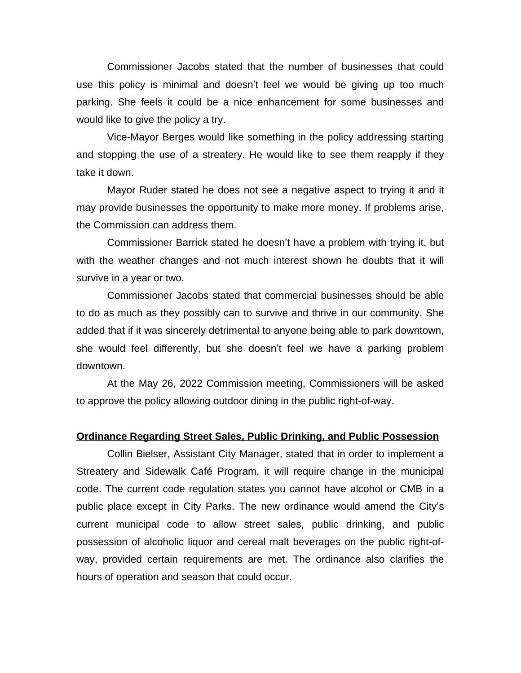Commissioner Jacobs stated that the number of businesses that could use this policy is minimal and doesn't feel we would be giving up too much parking. She feels it could be a nice enhancement for some businesses and would like to give the policy a try.

Vice-Mayor Berges would like something in the policy addressing starting and stopping the use of a streatery. He would like to see them reapply if they take it down.

Mayor Ruder stated he does not see a negative aspect to trying it and it may provide businesses the opportunity to make more money. If problems arise, the Commission can address them.

Commissioner Barrick stated he doesn't have a problem with trying it, but with the weather changes and not much interest shown he doubts that it will survive in a year or two.

Commissioner Jacobs stated that commercial businesses should be able to do as much as they possibly can to survive and thrive in our community. She added that if it was sincerely detrimental to anyone being able to park downtown, she would feel differently, but she doesn't feel we have a parking problem downtown.

At the May 26, 2022 Commission meeting, Commissioners will be asked to approve the policy allowing outdoor dining in the public right-of-way.

## **Ordinance Regarding Street Sales, Public Drinking, and Public Possession**

Collin Bielser, Assistant City Manager, stated that in order to implement a Streatery and Sidewalk Café Program, it will require change in the municipal code. The current code regulation states you cannot have alcohol or CMB in a public place except in City Parks. The new ordinance would amend the City's current municipal code to allow street sales, public drinking, and public possession of alcoholic liquor and cereal malt beverages on the public right-ofway, provided certain requirements are met. The ordinance also clarifies the hours of operation and season that could occur.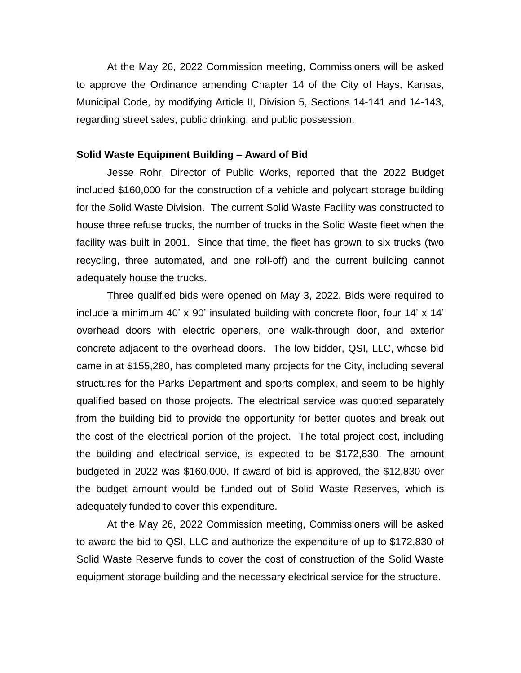At the May 26, 2022 Commission meeting, Commissioners will be asked to approve the Ordinance amending Chapter 14 of the City of Hays, Kansas, Municipal Code, by modifying Article II, Division 5, Sections 14-141 and 14-143, regarding street sales, public drinking, and public possession.

#### **Solid Waste Equipment Building – Award of Bid**

Jesse Rohr, Director of Public Works, reported that the 2022 Budget included \$160,000 for the construction of a vehicle and polycart storage building for the Solid Waste Division. The current Solid Waste Facility was constructed to house three refuse trucks, the number of trucks in the Solid Waste fleet when the facility was built in 2001. Since that time, the fleet has grown to six trucks (two recycling, three automated, and one roll-off) and the current building cannot adequately house the trucks.

Three qualified bids were opened on May 3, 2022. Bids were required to include a minimum 40' x 90' insulated building with concrete floor, four 14' x 14' overhead doors with electric openers, one walk-through door, and exterior concrete adjacent to the overhead doors. The low bidder, QSI, LLC, whose bid came in at \$155,280, has completed many projects for the City, including several structures for the Parks Department and sports complex, and seem to be highly qualified based on those projects. The electrical service was quoted separately from the building bid to provide the opportunity for better quotes and break out the cost of the electrical portion of the project. The total project cost, including the building and electrical service, is expected to be \$172,830. The amount budgeted in 2022 was \$160,000. If award of bid is approved, the \$12,830 over the budget amount would be funded out of Solid Waste Reserves, which is adequately funded to cover this expenditure.

At the May 26, 2022 Commission meeting, Commissioners will be asked to award the bid to QSI, LLC and authorize the expenditure of up to \$172,830 of Solid Waste Reserve funds to cover the cost of construction of the Solid Waste equipment storage building and the necessary electrical service for the structure.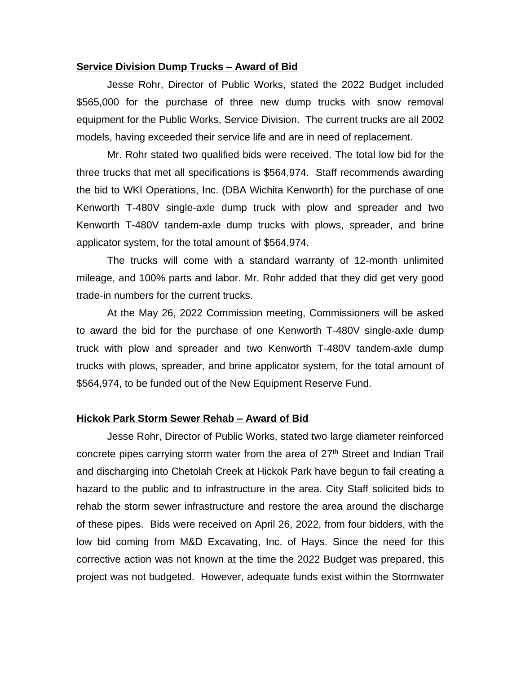#### **Service Division Dump Trucks – Award of Bid**

Jesse Rohr, Director of Public Works, stated the 2022 Budget included \$565,000 for the purchase of three new dump trucks with snow removal equipment for the Public Works, Service Division. The current trucks are all 2002 models, having exceeded their service life and are in need of replacement.

Mr. Rohr stated two qualified bids were received. The total low bid for the three trucks that met all specifications is \$564,974. Staff recommends awarding the bid to WKI Operations, Inc. (DBA Wichita Kenworth) for the purchase of one Kenworth T-480V single-axle dump truck with plow and spreader and two Kenworth T-480V tandem-axle dump trucks with plows, spreader, and brine applicator system, for the total amount of \$564,974.

The trucks will come with a standard warranty of 12-month unlimited mileage, and 100% parts and labor. Mr. Rohr added that they did get very good trade-in numbers for the current trucks.

At the May 26, 2022 Commission meeting, Commissioners will be asked to award the bid for the purchase of one Kenworth T-480V single-axle dump truck with plow and spreader and two Kenworth T-480V tandem-axle dump trucks with plows, spreader, and brine applicator system, for the total amount of \$564,974, to be funded out of the New Equipment Reserve Fund.

#### **Hickok Park Storm Sewer Rehab – Award of Bid**

Jesse Rohr, Director of Public Works, stated two large diameter reinforced concrete pipes carrying storm water from the area of 27<sup>th</sup> Street and Indian Trail and discharging into Chetolah Creek at Hickok Park have begun to fail creating a hazard to the public and to infrastructure in the area. City Staff solicited bids to rehab the storm sewer infrastructure and restore the area around the discharge of these pipes. Bids were received on April 26, 2022, from four bidders, with the low bid coming from M&D Excavating, Inc. of Hays. Since the need for this corrective action was not known at the time the 2022 Budget was prepared, this project was not budgeted. However, adequate funds exist within the Stormwater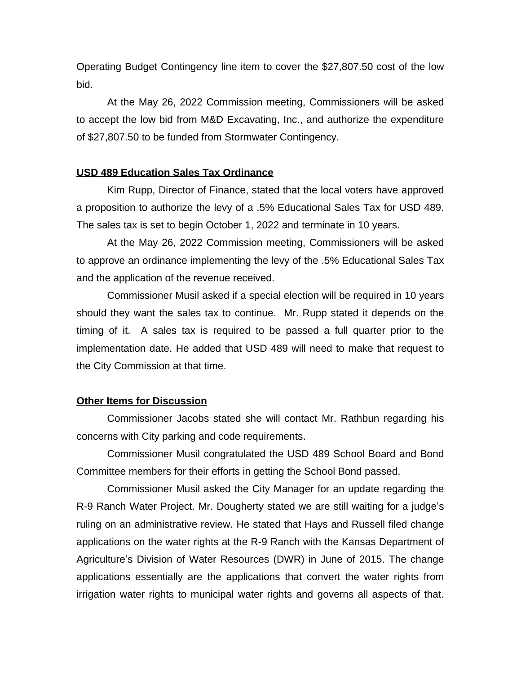Operating Budget Contingency line item to cover the \$27,807.50 cost of the low bid.

At the May 26, 2022 Commission meeting, Commissioners will be asked to accept the low bid from M&D Excavating, Inc., and authorize the expenditure of \$27,807.50 to be funded from Stormwater Contingency.

## **USD 489 Education Sales Tax Ordinance**

Kim Rupp, Director of Finance, stated that the local voters have approved a proposition to authorize the levy of a .5% Educational Sales Tax for USD 489. The sales tax is set to begin October 1, 2022 and terminate in 10 years.

At the May 26, 2022 Commission meeting, Commissioners will be asked to approve an ordinance implementing the levy of the .5% Educational Sales Tax and the application of the revenue received.

Commissioner Musil asked if a special election will be required in 10 years should they want the sales tax to continue. Mr. Rupp stated it depends on the timing of it. A sales tax is required to be passed a full quarter prior to the implementation date. He added that USD 489 will need to make that request to the City Commission at that time.

### **Other Items for Discussion**

Commissioner Jacobs stated she will contact Mr. Rathbun regarding his concerns with City parking and code requirements.

Commissioner Musil congratulated the USD 489 School Board and Bond Committee members for their efforts in getting the School Bond passed.

Commissioner Musil asked the City Manager for an update regarding the R-9 Ranch Water Project. Mr. Dougherty stated we are still waiting for a judge's ruling on an administrative review. He stated that Hays and Russell filed change applications on the water rights at the R-9 Ranch with the Kansas Department of Agriculture's Division of Water Resources (DWR) in June of 2015. The change applications essentially are the applications that convert the water rights from irrigation water rights to municipal water rights and governs all aspects of that.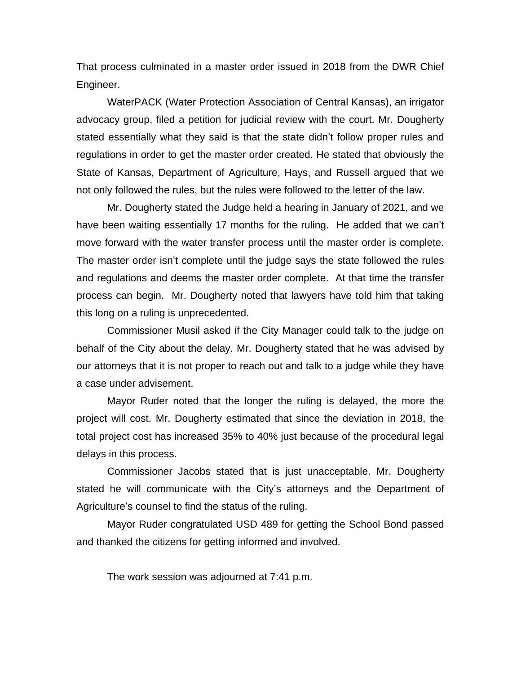That process culminated in a master order issued in 2018 from the DWR Chief Engineer.

WaterPACK (Water Protection Association of Central Kansas), an irrigator advocacy group, filed a petition for judicial review with the court. Mr. Dougherty stated essentially what they said is that the state didn't follow proper rules and regulations in order to get the master order created. He stated that obviously the State of Kansas, Department of Agriculture, Hays, and Russell argued that we not only followed the rules, but the rules were followed to the letter of the law.

Mr. Dougherty stated the Judge held a hearing in January of 2021, and we have been waiting essentially 17 months for the ruling. He added that we can't move forward with the water transfer process until the master order is complete. The master order isn't complete until the judge says the state followed the rules and regulations and deems the master order complete. At that time the transfer process can begin. Mr. Dougherty noted that lawyers have told him that taking this long on a ruling is unprecedented.

Commissioner Musil asked if the City Manager could talk to the judge on behalf of the City about the delay. Mr. Dougherty stated that he was advised by our attorneys that it is not proper to reach out and talk to a judge while they have a case under advisement.

Mayor Ruder noted that the longer the ruling is delayed, the more the project will cost. Mr. Dougherty estimated that since the deviation in 2018, the total project cost has increased 35% to 40% just because of the procedural legal delays in this process.

Commissioner Jacobs stated that is just unacceptable. Mr. Dougherty stated he will communicate with the City's attorneys and the Department of Agriculture's counsel to find the status of the ruling.

Mayor Ruder congratulated USD 489 for getting the School Bond passed and thanked the citizens for getting informed and involved.

The work session was adjourned at 7:41 p.m.